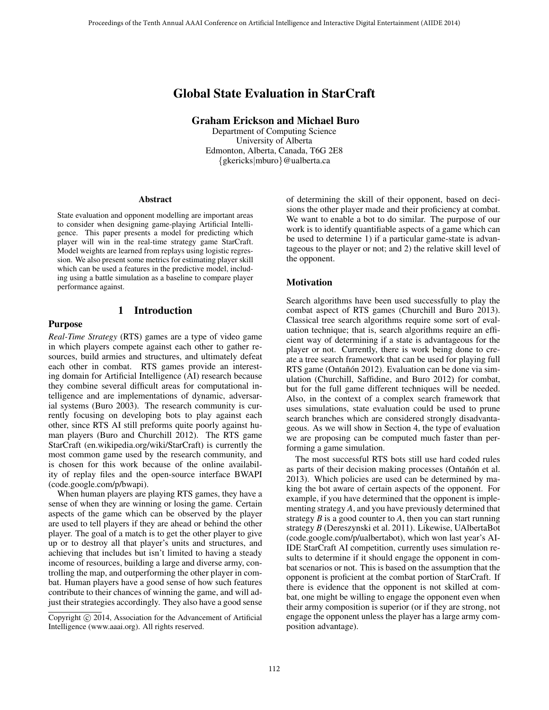# Global State Evaluation in StarCraft

Graham Erickson and Michael Buro

Department of Computing Science University of Alberta Edmonton, Alberta, Canada, T6G 2E8 {gkericks|mburo}@ualberta.ca

#### Abstract

State evaluation and opponent modelling are important areas to consider when designing game-playing Artificial Intelligence. This paper presents a model for predicting which player will win in the real-time strategy game StarCraft. Model weights are learned from replays using logistic regression. We also present some metrics for estimating player skill which can be used a features in the predictive model, including using a battle simulation as a baseline to compare player performance against.

# 1 Introduction

# Purpose

*Real-Time Strategy* (RTS) games are a type of video game in which players compete against each other to gather resources, build armies and structures, and ultimately defeat each other in combat. RTS games provide an interesting domain for Artificial Intelligence (AI) research because they combine several difficult areas for computational intelligence and are implementations of dynamic, adversarial systems (Buro 2003). The research community is currently focusing on developing bots to play against each other, since RTS AI still preforms quite poorly against human players (Buro and Churchill 2012). The RTS game StarCraft (en.wikipedia.org/wiki/StarCraft) is currently the most common game used by the research community, and is chosen for this work because of the online availability of replay files and the open-source interface BWAPI (code.google.com/p/bwapi).

When human players are playing RTS games, they have a sense of when they are winning or losing the game. Certain aspects of the game which can be observed by the player are used to tell players if they are ahead or behind the other player. The goal of a match is to get the other player to give up or to destroy all that player's units and structures, and achieving that includes but isn't limited to having a steady income of resources, building a large and diverse army, controlling the map, and outperforming the other player in combat. Human players have a good sense of how such features contribute to their chances of winning the game, and will adjust their strategies accordingly. They also have a good sense

of determining the skill of their opponent, based on decisions the other player made and their proficiency at combat. We want to enable a bot to do similar. The purpose of our work is to identify quantifiable aspects of a game which can be used to determine 1) if a particular game-state is advantageous to the player or not; and 2) the relative skill level of the opponent.

### Motivation

Search algorithms have been used successfully to play the combat aspect of RTS games (Churchill and Buro 2013). Classical tree search algorithms require some sort of evaluation technique; that is, search algorithms require an efficient way of determining if a state is advantageous for the player or not. Currently, there is work being done to create a tree search framework that can be used for playing full RTS game (Ontañón 2012). Evaluation can be done via simulation (Churchill, Saffidine, and Buro 2012) for combat, but for the full game different techniques will be needed. Also, in the context of a complex search framework that uses simulations, state evaluation could be used to prune search branches which are considered strongly disadvantageous. As we will show in Section 4, the type of evaluation we are proposing can be computed much faster than performing a game simulation.

The most successful RTS bots still use hard coded rules as parts of their decision making processes (Ontañón et al. 2013). Which policies are used can be determined by making the bot aware of certain aspects of the opponent. For example, if you have determined that the opponent is implementing strategy *A*, and you have previously determined that strategy *B* is a good counter to *A*, then you can start running strategy *B* (Dereszynski et al. 2011). Likewise, UAlbertaBot (code.google.com/p/ualbertabot), which won last year's AI-IDE StarCraft AI competition, currently uses simulation results to determine if it should engage the opponent in combat scenarios or not. This is based on the assumption that the opponent is proficient at the combat portion of StarCraft. If there is evidence that the opponent is not skilled at combat, one might be willing to engage the opponent even when their army composition is superior (or if they are strong, not engage the opponent unless the player has a large army composition advantage).

Copyright © 2014, Association for the Advancement of Artificial Intelligence (www.aaai.org). All rights reserved.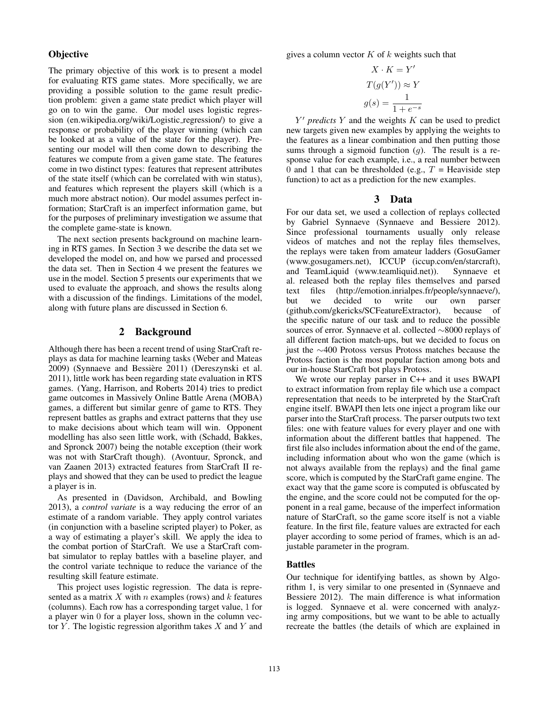### **Objective**

The primary objective of this work is to present a model for evaluating RTS game states. More specifically, we are providing a possible solution to the game result prediction problem: given a game state predict which player will go on to win the game. Our model uses logistic regression (en.wikipedia.org/wiki/Logistic regression/) to give a response or probability of the player winning (which can be looked at as a value of the state for the player). Presenting our model will then come down to describing the features we compute from a given game state. The features come in two distinct types: features that represent attributes of the state itself (which can be correlated with win status), and features which represent the players skill (which is a much more abstract notion). Our model assumes perfect information; StarCraft is an imperfect information game, but for the purposes of preliminary investigation we assume that the complete game-state is known.

The next section presents background on machine learning in RTS games. In Section 3 we describe the data set we developed the model on, and how we parsed and processed the data set. Then in Section 4 we present the features we use in the model. Section 5 presents our experiments that we used to evaluate the approach, and shows the results along with a discussion of the findings. Limitations of the model, along with future plans are discussed in Section 6.

# 2 Background

Although there has been a recent trend of using StarCraft replays as data for machine learning tasks (Weber and Mateas 2009) (Synnaeve and Bessière 2011) (Dereszynski et al. 2011), little work has been regarding state evaluation in RTS games. (Yang, Harrison, and Roberts 2014) tries to predict game outcomes in Massively Online Battle Arena (MOBA) games, a different but similar genre of game to RTS. They represent battles as graphs and extract patterns that they use to make decisions about which team will win. Opponent modelling has also seen little work, with (Schadd, Bakkes, and Spronck 2007) being the notable exception (their work was not with StarCraft though). (Avontuur, Spronck, and van Zaanen 2013) extracted features from StarCraft II replays and showed that they can be used to predict the league a player is in.

As presented in (Davidson, Archibald, and Bowling 2013), a *control variate* is a way reducing the error of an estimate of a random variable. They apply control variates (in conjunction with a baseline scripted player) to Poker, as a way of estimating a player's skill. We apply the idea to the combat portion of StarCraft. We use a StarCraft combat simulator to replay battles with a baseline player, and the control variate technique to reduce the variance of the resulting skill feature estimate.

This project uses logistic regression. The data is represented as a matrix  $X$  with  $n$  examples (rows) and  $k$  features (columns). Each row has a corresponding target value, 1 for a player win 0 for a player loss, shown in the column vector  $Y$ . The logistic regression algorithm takes  $X$  and  $Y$  and gives a column vector  $K$  of  $k$  weights such that

$$
X \cdot K = Y'
$$
  

$$
T(g(Y')) \approx Y
$$
  

$$
g(s) = \frac{1}{1 + e^{-s}}
$$

 $Y'$  *predicts*  $Y$  and the weights  $K$  can be used to predict new targets given new examples by applying the weights to the features as a linear combination and then putting those sums through a sigmoid function  $(q)$ . The result is a response value for each example, i.e., a real number between 0 and 1 that can be thresholded (e.g.,  $T =$  Heaviside step function) to act as a prediction for the new examples.

### 3 Data

For our data set, we used a collection of replays collected by Gabriel Synnaeve (Synnaeve and Bessiere 2012). Since professional tournaments usually only release videos of matches and not the replay files themselves, the replays were taken from amateur ladders (GosuGamer (www.gosugamers.net), ICCUP (iccup.com/en/starcraft), and TeamLiquid (www.teamliquid.net)). Synnaeve et al. released both the replay files themselves and parsed text files (http://emotion.inrialpes.fr/people/synnaeve/),<br>but we decided to write our own parser but we decided to write our own (github.com/gkericks/SCFeatureExtractor), because of the specific nature of our task and to reduce the possible sources of error. Synnaeve et al. collected ∼8000 replays of all different faction match-ups, but we decided to focus on just the ∼400 Protoss versus Protoss matches because the Protoss faction is the most popular faction among bots and our in-house StarCraft bot plays Protoss.

We wrote our replay parser in C++ and it uses BWAPI to extract information from replay file which use a compact representation that needs to be interpreted by the StarCraft engine itself. BWAPI then lets one inject a program like our parser into the StarCraft process. The parser outputs two text files: one with feature values for every player and one with information about the different battles that happened. The first file also includes information about the end of the game, including information about who won the game (which is not always available from the replays) and the final game score, which is computed by the StarCraft game engine. The exact way that the game score is computed is obfuscated by the engine, and the score could not be computed for the opponent in a real game, because of the imperfect information nature of StarCraft, so the game score itself is not a viable feature. In the first file, feature values are extracted for each player according to some period of frames, which is an adjustable parameter in the program.

#### Battles

Our technique for identifying battles, as shown by Algorithm 1, is very similar to one presented in (Synnaeve and Bessiere 2012). The main difference is what information is logged. Synnaeve et al. were concerned with analyzing army compositions, but we want to be able to actually recreate the battles (the details of which are explained in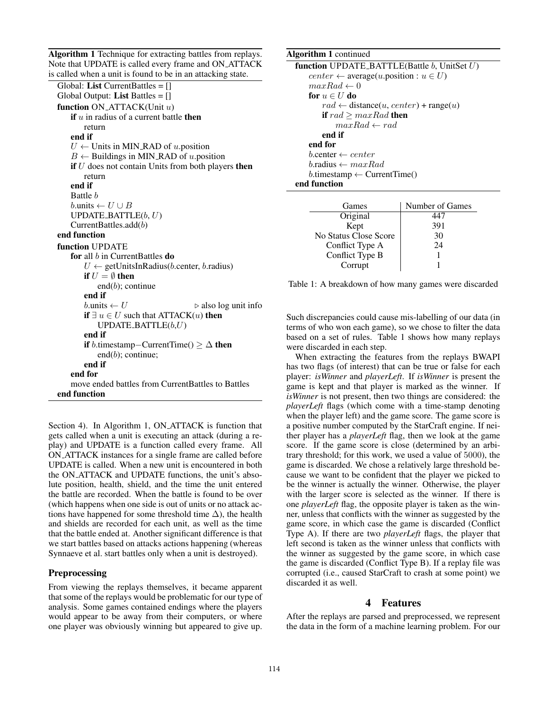Algorithm 1 Technique for extracting battles from replays. Note that UPDATE is called every frame and ON ATTACK is called when a unit is found to be in an attacking state.

```
Global: List CurrentBattles = []
Global Output: List Battles = []function ON_ATTACK(Unit u)
   if u in radius of a current battle then
       return
   end if
   U \leftarrow Units in MIN_RAD of u.position
    B \leftarrow Buildings in MIN_RAD of u.position
   if U does not contain Units from both players then
       return
   end if
   Battle b
   b.\text{units} \leftarrow U \cup BUPDATE_BATTLE(b, U)CurrentBattles.add(b)
end function
function UPDATE
   for all b in CurrentBattles do
       U \leftarrow getUnitsInRadius(b.center, b.radius)
       if U = \emptyset then
           end(b); continue
       end if
       b.units \leftarrow U \triangleright also log unit info
       if ∃ u \in U such that ATTACK(u) then
           UPDATE_BATTLE(b, U)end if
       if b.timestamp–CurrentTime() \geq \Delta then
           end(b); continue;
       end if
   end for
    move ended battles from CurrentBattles to Battles
end function
```
Section 4). In Algorithm 1, ON\_ATTACK is function that gets called when a unit is executing an attack (during a replay) and UPDATE is a function called every frame. All ON ATTACK instances for a single frame are called before UPDATE is called. When a new unit is encountered in both the ON ATTACK and UPDATE functions, the unit's absolute position, health, shield, and the time the unit entered the battle are recorded. When the battle is found to be over (which happens when one side is out of units or no attack actions have happened for some threshold time  $\Delta$ ), the health and shields are recorded for each unit, as well as the time that the battle ended at. Another significant difference is that we start battles based on attacks actions happening (whereas Synnaeve et al. start battles only when a unit is destroyed).

# **Preprocessing**

From viewing the replays themselves, it became apparent that some of the replays would be problematic for our type of analysis. Some games contained endings where the players would appear to be away from their computers, or where one player was obviously winning but appeared to give up.

# Algorithm 1 continued function UPDATE\_BATTLE(Battle  $b$ , UnitSet  $U$ )  $center \leftarrow average(u.position: u \in U)$  $maxRad \leftarrow 0$ for  $u \in U$  do  $rad \leftarrow distance(u, center) + range(u)$ if  $rad \geq maxRad$  then  $maxRad \leftarrow rad$ end if end for  $b$ .center  $\leftarrow center$  $b$ .radius  $\leftarrow maxRad$  $b$ .timestamp  $\leftarrow$  CurrentTime() end function

| Games                 | Number of Games |
|-----------------------|-----------------|
| Original              |                 |
| Kept                  | 391             |
| No Status Close Score | 30              |
| Conflict Type A       | 24              |
| Conflict Type B       |                 |
| Corrupt               |                 |

Table 1: A breakdown of how many games were discarded

Such discrepancies could cause mis-labelling of our data (in terms of who won each game), so we chose to filter the data based on a set of rules. Table 1 shows how many replays were discarded in each step.

When extracting the features from the replays BWAPI has two flags (of interest) that can be true or false for each player: *isWinner* and *playerLeft*. If *isWinner* is present the game is kept and that player is marked as the winner. If *isWinner* is not present, then two things are considered: the *playerLeft* flags (which come with a time-stamp denoting when the player left) and the game score. The game score is a positive number computed by the StarCraft engine. If neither player has a *playerLeft* flag, then we look at the game score. If the game score is close (determined by an arbitrary threshold; for this work, we used a value of 5000), the game is discarded. We chose a relatively large threshold because we want to be confident that the player we picked to be the winner is actually the winner. Otherwise, the player with the larger score is selected as the winner. If there is one *playerLeft* flag, the opposite player is taken as the winner, unless that conflicts with the winner as suggested by the game score, in which case the game is discarded (Conflict Type A). If there are two *playerLeft* flags, the player that left second is taken as the winner unless that conflicts with the winner as suggested by the game score, in which case the game is discarded (Conflict Type B). If a replay file was corrupted (i.e., caused StarCraft to crash at some point) we discarded it as well.

# 4 Features

After the replays are parsed and preprocessed, we represent the data in the form of a machine learning problem. For our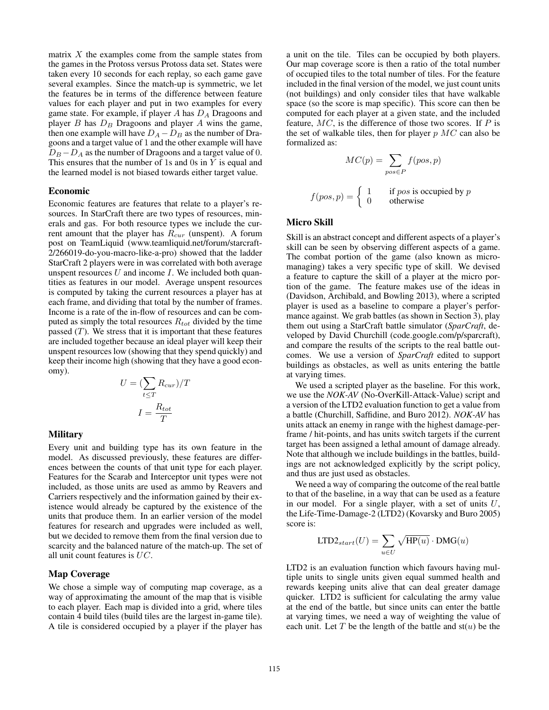matrix  $X$  the examples come from the sample states from the games in the Protoss versus Protoss data set. States were taken every 10 seconds for each replay, so each game gave several examples. Since the match-up is symmetric, we let the features be in terms of the difference between feature values for each player and put in two examples for every game state. For example, if player  $A$  has  $D_A$  Dragoons and player  $B$  has  $D_B$  Dragoons and player  $A$  wins the game, then one example will have  $D_A - D_B$  as the number of Dragoons and a target value of 1 and the other example will have  $D_B - D_A$  as the number of Dragoons and a target value of 0. This ensures that the number of 1s and 0s in  $Y$  is equal and the learned model is not biased towards either target value.

### Economic

Economic features are features that relate to a player's resources. In StarCraft there are two types of resources, minerals and gas. For both resource types we include the current amount that the player has  $R_{cur}$  (unspent). A forum post on TeamLiquid (www.teamliquid.net/forum/starcraft-2/266019-do-you-macro-like-a-pro) showed that the ladder StarCraft 2 players were in was correlated with both average unspent resources  $U$  and income  $I$ . We included both quantities as features in our model. Average unspent resources is computed by taking the current resources a player has at each frame, and dividing that total by the number of frames. Income is a rate of the in-flow of resources and can be computed as simply the total resources  $R_{tot}$  divided by the time passed  $(T)$ . We stress that it is important that these features are included together because an ideal player will keep their unspent resources low (showing that they spend quickly) and keep their income high (showing that they have a good economy).

$$
U = (\sum_{t \le T} R_{cur})/T
$$

$$
I = \frac{R_{tot}}{T}
$$

#### **Military**

Every unit and building type has its own feature in the model. As discussed previously, these features are differences between the counts of that unit type for each player. Features for the Scarab and Interceptor unit types were not included, as those units are used as ammo by Reavers and Carriers respectively and the information gained by their existence would already be captured by the existence of the units that produce them. In an earlier version of the model features for research and upgrades were included as well, but we decided to remove them from the final version due to scarcity and the balanced nature of the match-up. The set of all unit count features is UC.

### Map Coverage

We chose a simple way of computing map coverage, as a way of approximating the amount of the map that is visible to each player. Each map is divided into a grid, where tiles contain 4 build tiles (build tiles are the largest in-game tile). A tile is considered occupied by a player if the player has

a unit on the tile. Tiles can be occupied by both players. Our map coverage score is then a ratio of the total number of occupied tiles to the total number of tiles. For the feature included in the final version of the model, we just count units (not buildings) and only consider tiles that have walkable space (so the score is map specific). This score can then be computed for each player at a given state, and the included feature,  $MC$ , is the difference of those two scores. If  $P$  is the set of walkable tiles, then for player  $p$  MC can also be formalized as:

$$
MC(p) = \sum_{pos \in P} f(pos, p)
$$

$$
f(pos, p) = \begin{cases} 1 & \text{if } pos \text{ is occupied by } p \\ 0 & \text{otherwise} \end{cases}
$$

# Micro Skill

Skill is an abstract concept and different aspects of a player's skill can be seen by observing different aspects of a game. The combat portion of the game (also known as micromanaging) takes a very specific type of skill. We devised a feature to capture the skill of a player at the micro portion of the game. The feature makes use of the ideas in (Davidson, Archibald, and Bowling 2013), where a scripted player is used as a baseline to compare a player's performance against. We grab battles (as shown in Section 3), play them out using a StarCraft battle simulator (*SparCraft*, developed by David Churchill (code.google.com/p/sparcraft), and compare the results of the scripts to the real battle outcomes. We use a version of *SparCraft* edited to support buildings as obstacles, as well as units entering the battle at varying times.

We used a scripted player as the baseline. For this work, we use the *NOK-AV* (No-OverKill-Attack-Value) script and a version of the LTD2 evaluation function to get a value from a battle (Churchill, Saffidine, and Buro 2012). *NOK-AV* has units attack an enemy in range with the highest damage-perframe / hit-points, and has units switch targets if the current target has been assigned a lethal amount of damage already. Note that although we include buildings in the battles, buildings are not acknowledged explicitly by the script policy, and thus are just used as obstacles.

We need a way of comparing the outcome of the real battle to that of the baseline, in a way that can be used as a feature in our model. For a single player, with a set of units  $U$ , the Life-Time-Damage-2 (LTD2) (Kovarsky and Buro 2005) score is:

$$
\text{LTD2}_{start}(U) = \sum_{u \in U} \sqrt{\text{HP}(u)} \cdot \text{DMG}(u)
$$

LTD2 is an evaluation function which favours having multiple units to single units given equal summed health and rewards keeping units alive that can deal greater damage quicker. LTD2 is sufficient for calculating the army value at the end of the battle, but since units can enter the battle at varying times, we need a way of weighting the value of each unit. Let T be the length of the battle and  $st(u)$  be the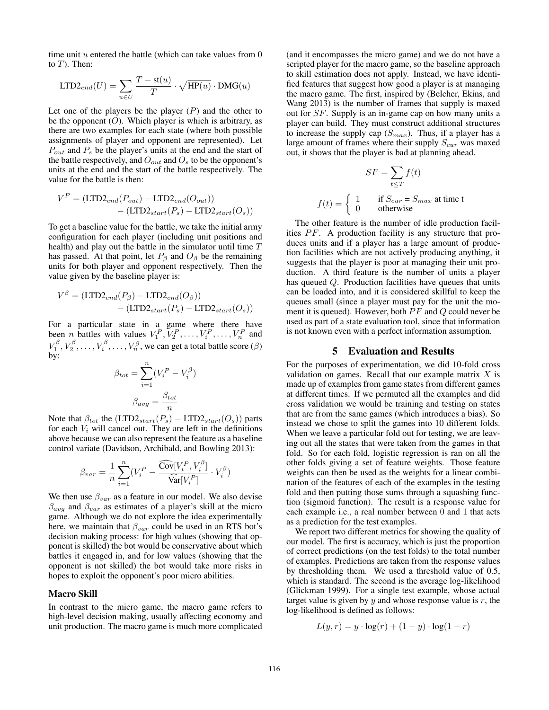time unit  $u$  entered the battle (which can take values from  $0$ to  $T$ ). Then:

$$
\text{LTD2}_{end}(U) = \sum_{u \in U} \frac{T - \text{st}(u)}{T} \cdot \sqrt{\text{HP}(u)} \cdot \text{DMG}(u)
$$

Let one of the players be the player  $(P)$  and the other to be the opponent  $(O)$ . Which player is which is arbitrary, as there are two examples for each state (where both possible assignments of player and opponent are represented). Let  $P_{out}$  and  $P_s$  be the player's units at the end and the start of the battle respectively, and  $O_{out}$  and  $O_s$  to be the opponent's units at the end and the start of the battle respectively. The value for the battle is then:

$$
V^{P} = (LTD2end(Pout) - LTD2end(Oout))
$$

$$
-(LTD2start(Ps) - LTD2start(Os))
$$

To get a baseline value for the battle, we take the initial army configuration for each player (including unit positions and health) and play out the battle in the simulator until time T has passed. At that point, let  $P_\beta$  and  $O_\beta$  be the remaining units for both player and opponent respectively. Then the value given by the baseline player is:

$$
V^{\beta} = (LTD2_{end}(P_{\beta}) - LTD2_{end}(O_{\beta}))
$$

$$
- (LTD2_{start}(P_{s}) - LTD2_{start}(O_{s}))
$$

For a particular state in a game where there have been *n* battles with values  $V_1^P, V_2^P, \ldots, V_i^P, \ldots, V_n^P$  and  $V_1^{\beta}, V_2^{\beta}, \ldots, V_i^{\beta}, \ldots, V_n^{\beta}$ , we can get a total battle score  $(\beta)$ by:

$$
\beta_{tot} = \sum_{i=1}^{n} (V_i^P - V_i^{\beta})
$$

$$
\beta_{avg} = \frac{\beta_{tot}}{n}
$$

Note that  $\beta_{tot}$  the  $(LTD2_{start}(P_s) - LTD2_{start}(O_s))$  parts for each  $V_i$  will cancel out. They are left in the definitions above because we can also represent the feature as a baseline control variate (Davidson, Archibald, and Bowling 2013):

$$
\beta_{var} = \frac{1}{n} \sum_{i=1}^{n} (V_i^P - \frac{\widehat{\mathrm{Cov}}[V_i^P, V_i^{\beta}]}{\widehat{\mathrm{Var}}[V_i^P]} \cdot V_i^{\beta})
$$

We then use  $\beta_{var}$  as a feature in our model. We also devise  $\beta_{avg}$  and  $\beta_{var}$  as estimates of a player's skill at the micro game. Although we do not explore the idea experimentally here, we maintain that  $\beta_{var}$  could be used in an RTS bot's decision making process: for high values (showing that opponent is skilled) the bot would be conservative about which battles it engaged in, and for low values (showing that the opponent is not skilled) the bot would take more risks in hopes to exploit the opponent's poor micro abilities.

#### Macro Skill

In contrast to the micro game, the macro game refers to high-level decision making, usually affecting economy and unit production. The macro game is much more complicated

(and it encompasses the micro game) and we do not have a scripted player for the macro game, so the baseline approach to skill estimation does not apply. Instead, we have identified features that suggest how good a player is at managing the macro game. The first, inspired by (Belcher, Ekins, and Wang 2013) is the number of frames that supply is maxed out for SF. Supply is an in-game cap on how many units a player can build. They must construct additional structures to increase the supply cap  $(S_{max})$ . Thus, if a player has a large amount of frames where their supply  $S_{cur}$  was maxed out, it shows that the player is bad at planning ahead.

$$
SF = \sum_{t \le T} f(t)
$$
  

$$
f(t) = \begin{cases} 1 & \text{if } S_{cur} = S_{max} \text{ at time } t\\ 0 & \text{otherwise} \end{cases}
$$

The other feature is the number of idle production facilities  $PF$ . A production facility is any structure that produces units and if a player has a large amount of production facilities which are not actively producing anything, it suggests that the player is poor at managing their unit production. A third feature is the number of units a player has queued Q. Production facilities have queues that units can be loaded into, and it is considered skillful to keep the queues small (since a player must pay for the unit the moment it is queued). However, both  $PF$  and  $Q$  could never be used as part of a state evaluation tool, since that information is not known even with a perfect information assumption.

### 5 Evaluation and Results

For the purposes of experimentation, we did 10-fold cross validation on games. Recall that our example matrix  $X$  is made up of examples from game states from different games at different times. If we permuted all the examples and did cross validation we would be training and testing on states that are from the same games (which introduces a bias). So instead we chose to split the games into 10 different folds. When we leave a particular fold out for testing, we are leaving out all the states that were taken from the games in that fold. So for each fold, logistic regression is ran on all the other folds giving a set of feature weights. Those feature weights can then be used as the weights for a linear combination of the features of each of the examples in the testing fold and then putting those sums through a squashing function (sigmoid function). The result is a response value for each example i.e., a real number between 0 and 1 that acts as a prediction for the test examples.

We report two different metrics for showing the quality of our model. The first is accuracy, which is just the proportion of correct predictions (on the test folds) to the total number of examples. Predictions are taken from the response values by thresholding them. We used a threshold value of 0.5, which is standard. The second is the average log-likelihood (Glickman 1999). For a single test example, whose actual target value is given by  $y$  and whose response value is  $r$ , the log-likelihood is defined as follows:

$$
L(y,r) = y \cdot \log(r) + (1 - y) \cdot \log(1 - r)
$$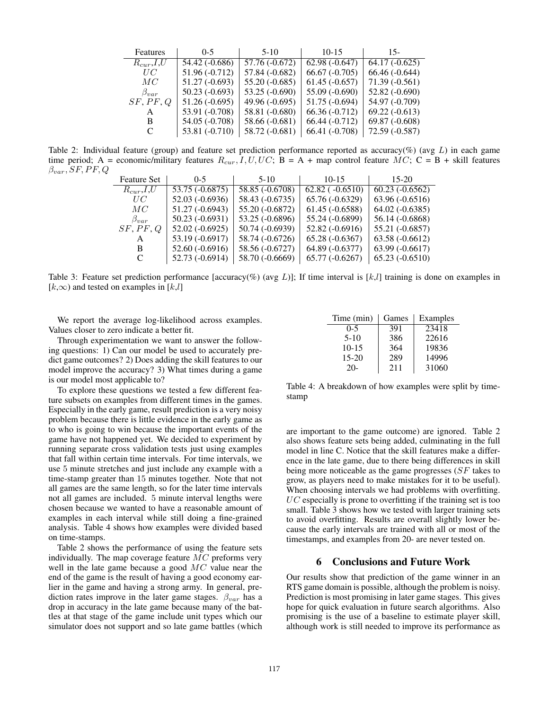| Features         | $0-5$           | $5-10$          | $10-15$         | $15-$           |
|------------------|-----------------|-----------------|-----------------|-----------------|
| $R_{cur}$ , I, U | 54.42 (-0.686)  | $57.76(-0.672)$ | $62.98(-0.647)$ | $64.17(-0.625)$ |
| UC               | 51.96 (-0.712)  | 57.84 (-0.682)  | $66.67(-0.705)$ | $66.46(-0.644)$ |
| MC               | 51.27 (-0.693)  | $55.20(-0.685)$ | $61.45(-0.657)$ | $71.39(-0.561)$ |
| $\beta_{var}$    | $50.23(-0.693)$ | $53.25(-0.690)$ | $55.09(-0.690)$ | $52.82(-0.690)$ |
| SF, PF, Q        | $51.26(-0.695)$ | $49.96(-0.695)$ | $51.75(-0.694)$ | 54.97 (-0.709)  |
| A                | 53.91 (-0.708)  | 58.81 (-0.680)  | $66.36(-0.712)$ | $69.22(-0.613)$ |
| B                | 54.05 (-0.708)  | 58.66 (-0.681)  | $66.44(-0.712)$ | $69.87(-0.608)$ |
| C                | 53.81 (-0.710)  | 58.72 (-0.681)  | $66.41(-0.708)$ | $72.59(-0.587)$ |

Table 2: Individual feature (group) and feature set prediction performance reported as accuracy(%) (avg  $L$ ) in each game time period; A = economic/military features  $R_{cur}$ , I, U, UC; B = A + map control feature MC; C = B + skill features  $\beta_{var}, SF, PF, Q$ 

| <b>Feature Set</b> | $0 - 5$          | $5-10$           | $10 - 15$             | $15-20$           |
|--------------------|------------------|------------------|-----------------------|-------------------|
| $R_{cur}$ , I,U    | 53.75 (-0.6875)  | $58.85(-0.6708)$ | $62.82$ ( $-0.6510$ ) | $60.23 (-0.6562)$ |
| UC                 | $52.03(-0.6936)$ | 58.43 (-0.6735)  | $65.76(-0.6329)$      | $63.96(-0.6516)$  |
| MC                 | $51.27(-0.6943)$ | 55.20 (-0.6872)  | $61.45(-0.6588)$      | $64.02 (-0.6385)$ |
| $\beta_{var}$      | $50.23(-0.6931)$ | 53.25 (-0.6896)  | 55.24 (-0.6899)       | 56.14 (-0.6868)   |
| SF, PF, Q          | $52.02(-0.6925)$ | 50.74 (-0.6939)  | 52.82 (-0.6916)       | 55.21 (-0.6857)   |
| A                  | 53.19 (-0.6917)  | 58.74 (-0.6726)  | $65.28(-0.6367)$      | $63.58(-0.6612)$  |
| B                  | $52.60(-0.6916)$ | 58.56 (-0.6727)  | 64.89 (-0.6377)       | 63.99 (-0.6617)   |
| C                  | $52.73(-0.6914)$ | 58.70 (-0.6669)  | $65.77(-0.6267)$      | $65.23(-0.6510)$  |

Table 3: Feature set prediction performance [accuracy(%) (avg L)]; If time interval is  $[k, l]$  training is done on examples in  $[k,\infty)$  and tested on examples in  $[k,l]$ 

We report the average log-likelihood across examples. Values closer to zero indicate a better fit.

Through experimentation we want to answer the following questions: 1) Can our model be used to accurately predict game outcomes? 2) Does adding the skill features to our model improve the accuracy? 3) What times during a game is our model most applicable to?

To explore these questions we tested a few different feature subsets on examples from different times in the games. Especially in the early game, result prediction is a very noisy problem because there is little evidence in the early game as to who is going to win because the important events of the game have not happened yet. We decided to experiment by running separate cross validation tests just using examples that fall within certain time intervals. For time intervals, we use 5 minute stretches and just include any example with a time-stamp greater than 15 minutes together. Note that not all games are the same length, so for the later time intervals not all games are included. 5 minute interval lengths were chosen because we wanted to have a reasonable amount of examples in each interval while still doing a fine-grained analysis. Table 4 shows how examples were divided based on time-stamps.

Table 2 shows the performance of using the feature sets individually. The map coverage feature  $MC$  preforms very well in the late game because a good MC value near the end of the game is the result of having a good economy earlier in the game and having a strong army. In general, prediction rates improve in the later game stages.  $\beta_{var}$  has a drop in accuracy in the late game because many of the battles at that stage of the game include unit types which our simulator does not support and so late game battles (which

| Time (min) | Games | Examples |
|------------|-------|----------|
| $0 - 5$    | 391   | 23418    |
| $5-10$     | 386   | 22616    |
| $10-15$    | 364   | 19836    |
| $15 - 20$  | 289   | 14996    |
| $20 -$     | 211   | 31060    |

Table 4: A breakdown of how examples were split by timestamp

are important to the game outcome) are ignored. Table 2 also shows feature sets being added, culminating in the full model in line C. Notice that the skill features make a difference in the late game, due to there being differences in skill being more noticeable as the game progresses (SF takes to grow, as players need to make mistakes for it to be useful). When choosing intervals we had problems with overfitting.  $UC$  especially is prone to overfitting if the training set is too small. Table 3 shows how we tested with larger training sets to avoid overfitting. Results are overall slightly lower because the early intervals are trained with all or most of the timestamps, and examples from 20- are never tested on.

### 6 Conclusions and Future Work

Our results show that prediction of the game winner in an RTS game domain is possible, although the problem is noisy. Prediction is most promising in later game stages. This gives hope for quick evaluation in future search algorithms. Also promising is the use of a baseline to estimate player skill, although work is still needed to improve its performance as